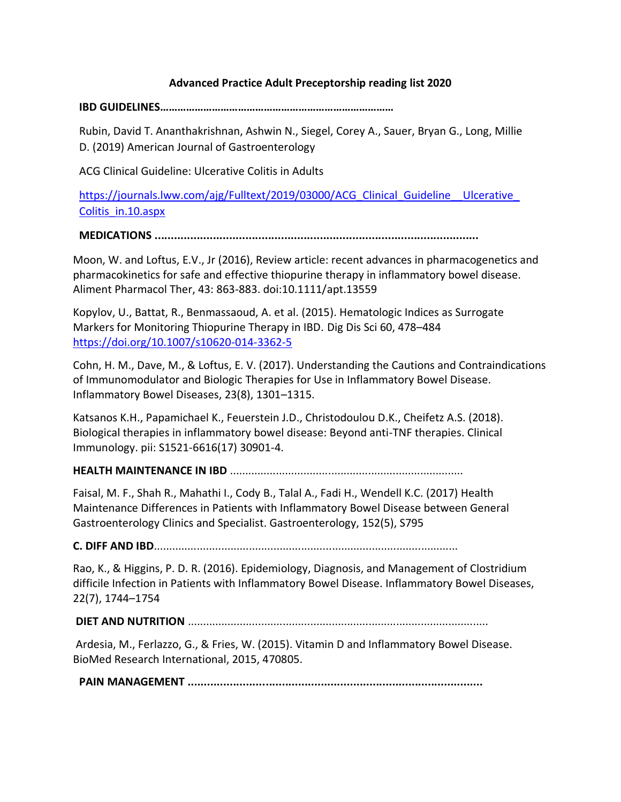# **Advanced Practice Adult Preceptorship reading list 2020**

**IBD GUIDELINES………………………………………………………………………**

Rubin, David T. Ananthakrishnan, Ashwin N., Siegel, Corey A., Sauer, Bryan G., Long, Millie D. (2019) American Journal of Gastroenterology

ACG Clinical Guideline: Ulcerative Colitis in Adults

https://journals.lww.com/ajg/Fulltext/2019/03000/ACG Clinical Guideline Ulcerative Colitis\_in.10.aspx

**MEDICATIONS ....................................................................................................**

Moon, W. and Loftus, E.V., Jr (2016), Review article: recent advances in pharmacogenetics and pharmacokinetics for safe and effective thiopurine therapy in inflammatory bowel disease. Aliment Pharmacol Ther, 43: 863-883. doi:10.1111/apt.13559

Kopylov, U., Battat, R., Benmassaoud, A. et al. (2015). Hematologic Indices as Surrogate Markers for Monitoring Thiopurine Therapy in IBD. Dig Dis Sci 60, 478–484 https://doi.org/10.1007/s10620-014-3362-5

Cohn, H. M., Dave, M., & Loftus, E. V. (2017). Understanding the Cautions and Contraindications of Immunomodulator and Biologic Therapies for Use in Inflammatory Bowel Disease. Inflammatory Bowel Diseases, 23(8), 1301–1315.

Katsanos K.H., Papamichael K., Feuerstein J.D., Christodoulou D.K., Cheifetz A.S. (2018). Biological therapies in inflammatory bowel disease: Beyond anti-TNF therapies. Clinical Immunology. pii: S1521-6616(17) 30901-4.

**HEALTH MAINTENANCE IN IBD** ............................................................................

Faisal, M. F., Shah R., Mahathi I., Cody B., Talal A., Fadi H., Wendell K.C. (2017) Health Maintenance Differences in Patients with Inflammatory Bowel Disease between General Gastroenterology Clinics and Specialist. Gastroenterology, 152(5), S795

**C. DIFF AND IBD**...................................................................................................

Rao, K., & Higgins, P. D. R. (2016). Epidemiology, Diagnosis, and Management of Clostridium difficile Infection in Patients with Inflammatory Bowel Disease. Inflammatory Bowel Diseases, 22(7), 1744–1754

**DIET AND NUTRITION** ..................................................................................................

Ardesia, M., Ferlazzo, G., & Fries, W. (2015). Vitamin D and Inflammatory Bowel Disease. BioMed Research International, 2015, 470805.

**PAIN MANAGEMENT ...........................................................................................**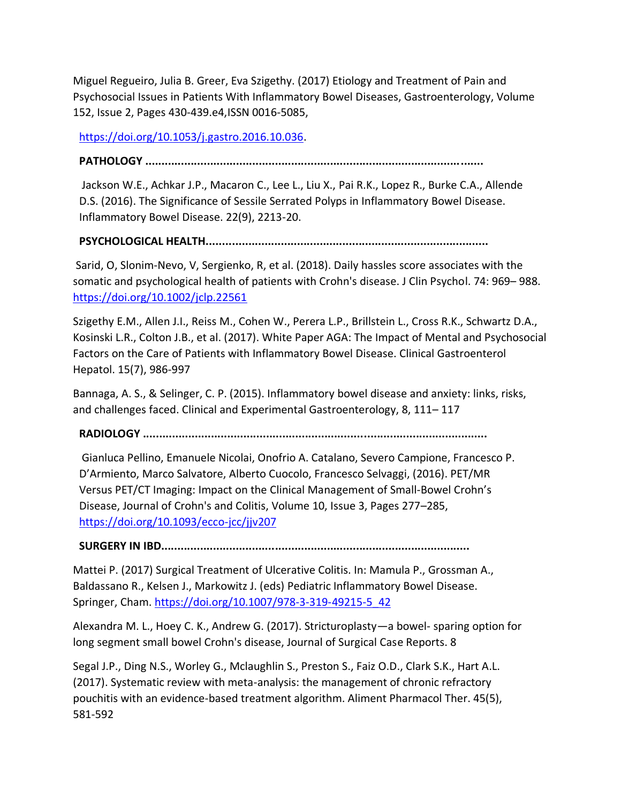Miguel Regueiro, Julia B. Greer, Eva Szigethy. (2017) Etiology and Treatment of Pain and Psychosocial Issues in Patients With Inflammatory Bowel Diseases, Gastroenterology, Volume 152, Issue 2, Pages 430-439.e4,ISSN 0016-5085,

https://doi.org/10.1053/j.gastro.2016.10.036.

#### **PATHOLOGY ..............................**

Jackson W.E., Achkar J.P., Macaron C., Lee L., Liu X., Pai R.K., Lopez R., Burke C.A., Allende D.S. (2016). The Significance of Sessile Serrated Polyps in Inflammatory Bowel Disease. Inflammatory Bowel Disease. 22(9), 2213-20.

## **PSYCHOLOGICAL HEALTH.......................................................................................**

Sarid, O, Slonim‐Nevo, V, Sergienko, R, et al. (2018). Daily hassles score associates with the somatic and psychological health of patients with Crohn's disease. J Clin Psychol. 74: 969– 988. https://doi.org/10.1002/jclp.22561

Szigethy E.M., Allen J.I., Reiss M., Cohen W., Perera L.P., Brillstein L., Cross R.K., Schwartz D.A., Kosinski L.R., Colton J.B., et al. (2017). White Paper AGA: The Impact of Mental and Psychosocial Factors on the Care of Patients with Inflammatory Bowel Disease. Clinical Gastroenterol Hepatol. 15(7), 986-997

Bannaga, A. S., & Selinger, C. P. (2015). Inflammatory bowel disease and anxiety: links, risks, and challenges faced. Clinical and Experimental Gastroenterology, 8, 111– 117

**RADIOLOGY ..........................................................................................................**

Gianluca Pellino, Emanuele Nicolai, Onofrio A. Catalano, Severo Campione, Francesco P. D'Armiento, Marco Salvatore, Alberto Cuocolo, Francesco Selvaggi, (2016). PET/MR Versus PET/CT Imaging: Impact on the Clinical Management of Small-Bowel Crohn's Disease, Journal of Crohn's and Colitis, Volume 10, Issue 3, Pages 277–285, https://doi.org/10.1093/ecco-jcc/jjv207

**SURGERY IN IBD...............................................................................................**

Mattei P. (2017) Surgical Treatment of Ulcerative Colitis. In: Mamula P., Grossman A., Baldassano R., Kelsen J., Markowitz J. (eds) Pediatric Inflammatory Bowel Disease. Springer, Cham. https://doi.org/10.1007/978-3-319-49215-5\_42

Alexandra M. L., Hoey C. K., Andrew G. (2017). Stricturoplasty—a bowel- sparing option for long segment small bowel Crohn's disease, Journal of Surgical Case Reports. 8

Segal J.P., Ding N.S., Worley G., Mclaughlin S., Preston S., Faiz O.D., Clark S.K., Hart A.L. (2017). Systematic review with meta-analysis: the management of chronic refractory pouchitis with an evidence-based treatment algorithm. Aliment Pharmacol Ther. 45(5), 581-592